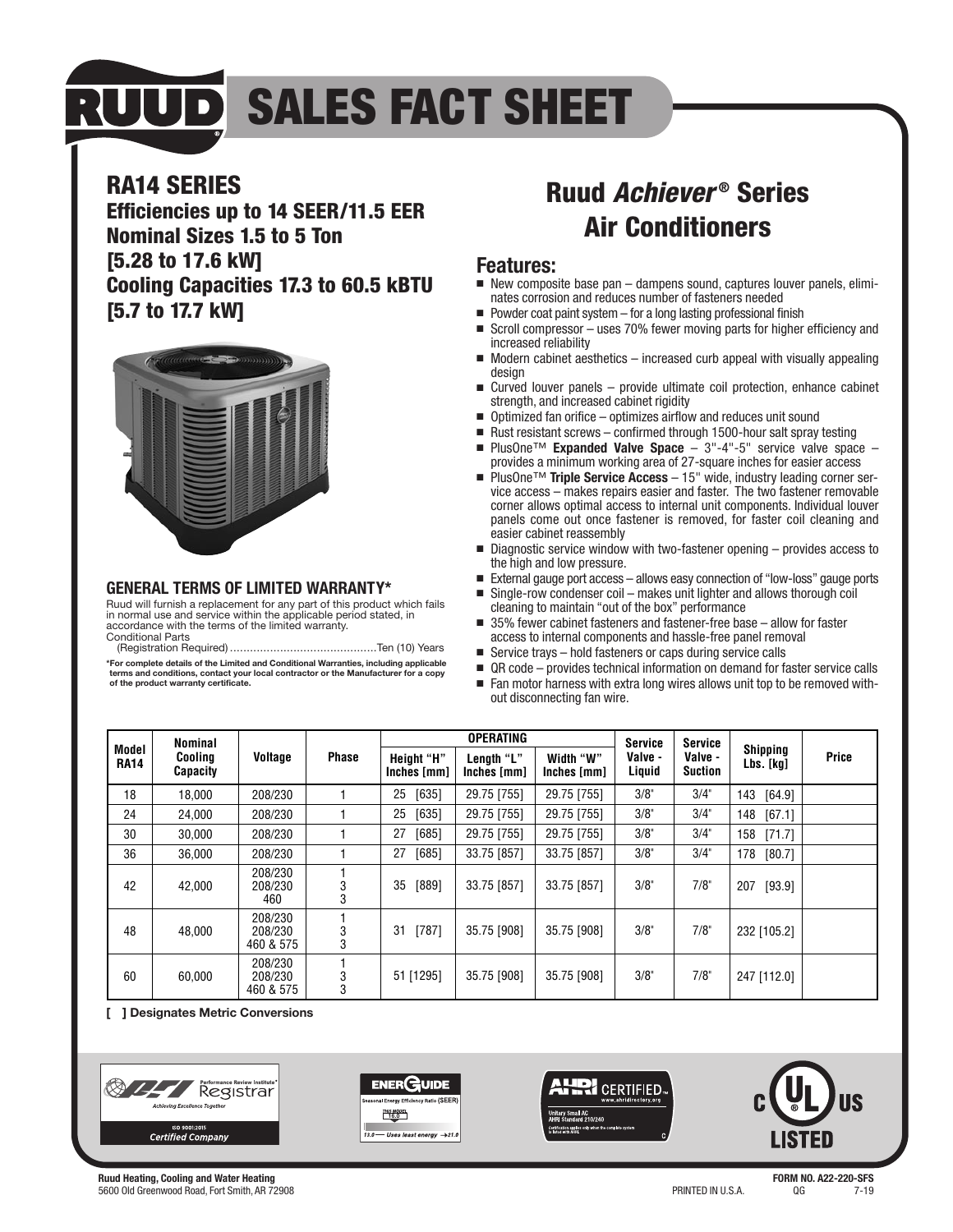# **RUUD SALES FACT SHEET**

### **RA14 SERIES**

**Efficiencies up to 14 SEER/11.5 EER Nominal Sizes 1.5 to 5 Ton [5.28 to 17.6 kW] Cooling Capacities 17.3 to 60.5 kBTU [5.7 to 17.7 kW]**



#### **GENERAL TERMS OF LIMITED WARRANTY\***

Ruud will furnish a replacement for any part of this product which fails in normal use and service within the applicable period stated, in accordance with the terms of the limited warranty. Conditional Parts

(Registration Required) ............................................Ten (10) Years **\*For complete details of the Limited and Conditional Warranties, including applicable terms and conditions, contact your local contractor or the Manufacturer for a copy of the product warranty certificate.**

### **Ruud Achiever ® Series Air Conditioners**

#### **Features:**

- New composite base pan dampens sound, captures louver panels, eliminates corrosion and reduces number of fasteners needed
- $\blacksquare$  Powder coat paint system  $-$  for a long lasting professional finish
- Scroll compressor uses 70% fewer moving parts for higher efficiency and increased reliability
- Modern cabinet aesthetics increased curb appeal with visually appealing design
- Curved louver panels provide ultimate coil protection, enhance cabinet strength, and increased cabinet rigidity
- Optimized fan orifice optimizes airflow and reduces unit sound
- Rust resistant screws confirmed through 1500-hour salt spray testing
- PlusOne<sup>™</sup> Expanded Valve Space 3"-4"-5" service valve space provides a minimum working area of 27-square inches for easier access
- PlusOne<sup>™</sup> **Triple Service Access** 15" wide, industry leading corner ser-<br>vice access makes repairs easier and faster. The two fastener removable corner allows optimal access to internal unit components. Individual louver panels come out once fastener is removed, for faster coil cleaning and easier cabinet reassembly
- Diagnostic service window with two-fastener opening provides access to the high and low pressure.
- External gauge port access allows easy connection of "low-loss" gauge ports
- Single-row condenser coil makes unit lighter and allows thorough coil cleaning to maintain "out of the box" performance
- 35% fewer cabinet fasteners and fastener-free base allow for faster access to internal components and hassle-free panel removal
- Service trays hold fasteners or caps during service calls
- QR code provides technical information on demand for faster service calls<br>■ Ean motor harness with extra long wires allows unit ton to be removed with-
- Fan motor harness with extra long wires allows unit top to be removed without disconnecting fan wire.

| Model<br><b>RA14</b> | <b>Nominal</b><br><b>Cooling</b><br><b>Capacity</b> | <b>Voltage</b>                  | <b>Phase</b> | <b>OPERATING</b>                 |                           |                          | <b>Service</b>    | <b>Service</b>            |                              |              |
|----------------------|-----------------------------------------------------|---------------------------------|--------------|----------------------------------|---------------------------|--------------------------|-------------------|---------------------------|------------------------------|--------------|
|                      |                                                     |                                 |              | <b>Height "H"</b><br>Inches [mm] | Length "L"<br>Inches [mm] | Width "W"<br>Inches [mm] | Valve -<br>Liquid | Valve -<br><b>Suction</b> | <b>Shipping</b><br>Lbs. [kg] | <b>Price</b> |
| 18                   | 18.000                                              | 208/230                         |              | $[635]$<br>25                    | 29.75 [755]               | 29.75 [755]              | 3/8"              | 3/4"                      | 143 [64.9]                   |              |
| 24                   | 24.000                                              | 208/230                         |              | [635]<br>25                      | 29.75 [755]               | 29.75 [755]              | 3/8"              | 3/4"                      | [67.1]<br>148                |              |
| 30                   | 30.000                                              | 208/230                         |              | [685]<br>27                      | 29.75 [755]               | 29.75 [755]              | 3/8"              | 3/4"                      | [71.7]<br>158                |              |
| 36                   | 36.000                                              | 208/230                         |              | 27 [685]                         | 33.75 [857]               | 33.75 [857]              | 3/8"              | 3/4"                      | 178<br>[80.7]                |              |
| 42                   | 42.000                                              | 208/230<br>208/230<br>460       | 3<br>3       | $[889]$<br>35                    | 33.75 [857]               | 33.75 [857]              | 3/8"              | $7/8$ "                   | 207<br>[93.9]                |              |
| 48                   | 48,000                                              | 208/230<br>208/230<br>460 & 575 | 3<br>3       | 31<br>[787]                      | 35.75 [908]               | 35.75 [908]              | 3/8"              | 7/8"                      | 232 [105.2]                  |              |
| 60                   | 60,000                                              | 208/230<br>208/230<br>460 & 575 | 3<br>3       | 51 [1295]                        | 35.75 [908]               | 35.75 [908]              | 3/8"              | 7/8"                      | 247 [112.0]                  |              |

**[ ] Designates Metric Conversions**